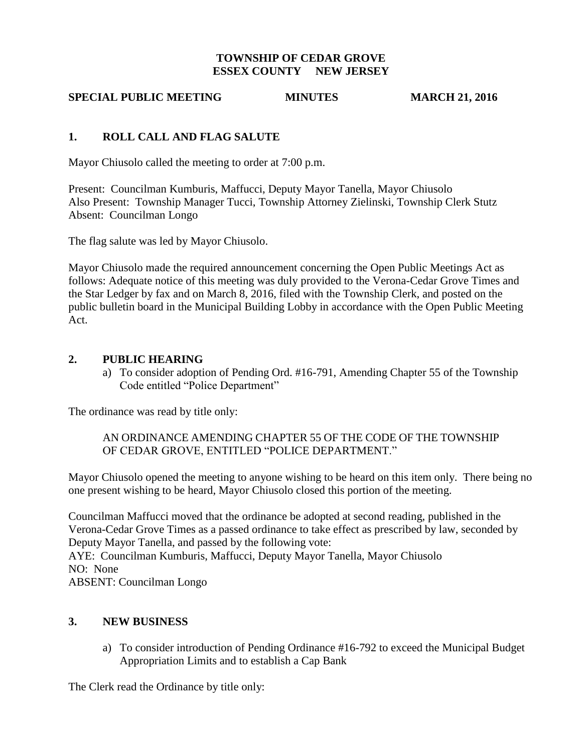## **TOWNSHIP OF CEDAR GROVE ESSEX COUNTY NEW JERSEY**

## **SPECIAL PUBLIC MEETING MINUTES MARCH 21, 2016**

## **1. ROLL CALL AND FLAG SALUTE**

Mayor Chiusolo called the meeting to order at 7:00 p.m.

Present: Councilman Kumburis, Maffucci, Deputy Mayor Tanella, Mayor Chiusolo Also Present: Township Manager Tucci, Township Attorney Zielinski, Township Clerk Stutz Absent: Councilman Longo

The flag salute was led by Mayor Chiusolo.

Mayor Chiusolo made the required announcement concerning the Open Public Meetings Act as follows: Adequate notice of this meeting was duly provided to the Verona-Cedar Grove Times and the Star Ledger by fax and on March 8, 2016, filed with the Township Clerk, and posted on the public bulletin board in the Municipal Building Lobby in accordance with the Open Public Meeting Act.

#### **2. PUBLIC HEARING**

a) To consider adoption of Pending Ord. #16-791, Amending Chapter 55 of the Township Code entitled "Police Department"

The ordinance was read by title only:

AN ORDINANCE AMENDING CHAPTER 55 OF THE CODE OF THE TOWNSHIP OF CEDAR GROVE, ENTITLED "POLICE DEPARTMENT."

Mayor Chiusolo opened the meeting to anyone wishing to be heard on this item only. There being no one present wishing to be heard, Mayor Chiusolo closed this portion of the meeting.

Councilman Maffucci moved that the ordinance be adopted at second reading, published in the Verona-Cedar Grove Times as a passed ordinance to take effect as prescribed by law, seconded by Deputy Mayor Tanella, and passed by the following vote:

AYE: Councilman Kumburis, Maffucci, Deputy Mayor Tanella, Mayor Chiusolo NO: None

ABSENT: Councilman Longo

#### **3. NEW BUSINESS**

a) To consider introduction of Pending Ordinance #16-792 to exceed the Municipal Budget Appropriation Limits and to establish a Cap Bank

The Clerk read the Ordinance by title only: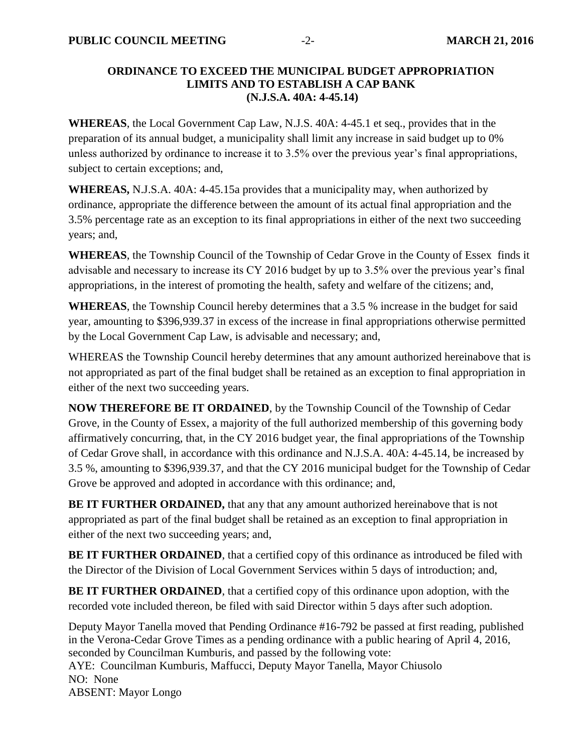## **ORDINANCE TO EXCEED THE MUNICIPAL BUDGET APPROPRIATION LIMITS AND TO ESTABLISH A CAP BANK (N.J.S.A. 40A: 4-45.14)**

**WHEREAS**, the Local Government Cap Law, N.J.S. 40A: 4-45.1 et seq., provides that in the preparation of its annual budget, a municipality shall limit any increase in said budget up to 0% unless authorized by ordinance to increase it to 3.5% over the previous year's final appropriations, subject to certain exceptions; and,

**WHEREAS,** N.J.S.A. 40A: 4-45.15a provides that a municipality may, when authorized by ordinance, appropriate the difference between the amount of its actual final appropriation and the 3.5% percentage rate as an exception to its final appropriations in either of the next two succeeding years; and,

**WHEREAS**, the Township Council of the Township of Cedar Grove in the County of Essex finds it advisable and necessary to increase its CY 2016 budget by up to 3.5% over the previous year's final appropriations, in the interest of promoting the health, safety and welfare of the citizens; and,

**WHEREAS**, the Township Council hereby determines that a 3.5 % increase in the budget for said year, amounting to \$396,939.37 in excess of the increase in final appropriations otherwise permitted by the Local Government Cap Law, is advisable and necessary; and,

WHEREAS the Township Council hereby determines that any amount authorized hereinabove that is not appropriated as part of the final budget shall be retained as an exception to final appropriation in either of the next two succeeding years.

**NOW THEREFORE BE IT ORDAINED**, by the Township Council of the Township of Cedar Grove, in the County of Essex, a majority of the full authorized membership of this governing body affirmatively concurring, that, in the CY 2016 budget year, the final appropriations of the Township of Cedar Grove shall, in accordance with this ordinance and N.J.S.A. 40A: 4-45.14, be increased by 3.5 %, amounting to \$396,939.37, and that the CY 2016 municipal budget for the Township of Cedar Grove be approved and adopted in accordance with this ordinance; and,

**BE IT FURTHER ORDAINED,** that any that any amount authorized hereinabove that is not appropriated as part of the final budget shall be retained as an exception to final appropriation in either of the next two succeeding years; and,

**BE IT FURTHER ORDAINED**, that a certified copy of this ordinance as introduced be filed with the Director of the Division of Local Government Services within 5 days of introduction; and,

**BE IT FURTHER ORDAINED**, that a certified copy of this ordinance upon adoption, with the recorded vote included thereon, be filed with said Director within 5 days after such adoption.

Deputy Mayor Tanella moved that Pending Ordinance #16-792 be passed at first reading, published in the Verona-Cedar Grove Times as a pending ordinance with a public hearing of April 4, 2016, seconded by Councilman Kumburis, and passed by the following vote: AYE: Councilman Kumburis, Maffucci, Deputy Mayor Tanella, Mayor Chiusolo NO: None ABSENT: Mayor Longo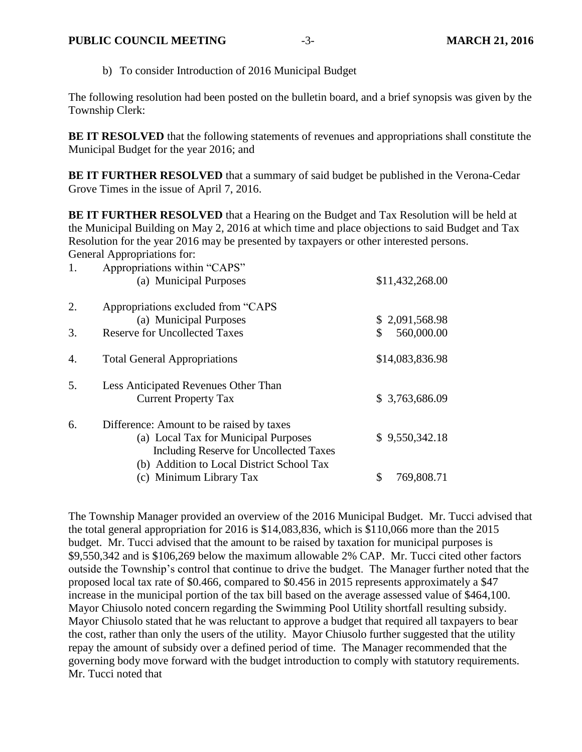b) To consider Introduction of 2016 Municipal Budget

The following resolution had been posted on the bulletin board, and a brief synopsis was given by the Township Clerk:

**BE IT RESOLVED** that the following statements of revenues and appropriations shall constitute the Municipal Budget for the year 2016; and

**BE IT FURTHER RESOLVED** that a summary of said budget be published in the Verona-Cedar Grove Times in the issue of April 7, 2016.

**BE IT FURTHER RESOLVED** that a Hearing on the Budget and Tax Resolution will be held at the Municipal Building on May 2, 2016 at which time and place objections to said Budget and Tax Resolution for the year 2016 may be presented by taxpayers or other interested persons. General Appropriations for:

| 1. | Appropriations within "CAPS"<br>(a) Municipal Purposes | \$11,432,268.00 |
|----|--------------------------------------------------------|-----------------|
| 2. | Appropriations excluded from "CAPS"                    |                 |
|    | (a) Municipal Purposes                                 | \$2,091,568.98  |
| 3. | <b>Reserve for Uncollected Taxes</b>                   | 560,000.00<br>S |
| 4. | <b>Total General Appropriations</b>                    | \$14,083,836.98 |
| 5. | Less Anticipated Revenues Other Than                   |                 |
|    | <b>Current Property Tax</b>                            | \$3,763,686.09  |
| 6. | Difference: Amount to be raised by taxes               |                 |
|    | (a) Local Tax for Municipal Purposes                   | \$9,550,342.18  |
|    | Including Reserve for Uncollected Taxes                |                 |
|    | (b) Addition to Local District School Tax              |                 |
|    | (c) Minimum Library Tax                                | 769,808.71      |

The Township Manager provided an overview of the 2016 Municipal Budget. Mr. Tucci advised that the total general appropriation for 2016 is \$14,083,836, which is \$110,066 more than the 2015 budget. Mr. Tucci advised that the amount to be raised by taxation for municipal purposes is \$9,550,342 and is \$106,269 below the maximum allowable 2% CAP. Mr. Tucci cited other factors outside the Township's control that continue to drive the budget. The Manager further noted that the proposed local tax rate of \$0.466, compared to \$0.456 in 2015 represents approximately a \$47 increase in the municipal portion of the tax bill based on the average assessed value of \$464,100. Mayor Chiusolo noted concern regarding the Swimming Pool Utility shortfall resulting subsidy. Mayor Chiusolo stated that he was reluctant to approve a budget that required all taxpayers to bear the cost, rather than only the users of the utility. Mayor Chiusolo further suggested that the utility repay the amount of subsidy over a defined period of time. The Manager recommended that the governing body move forward with the budget introduction to comply with statutory requirements. Mr. Tucci noted that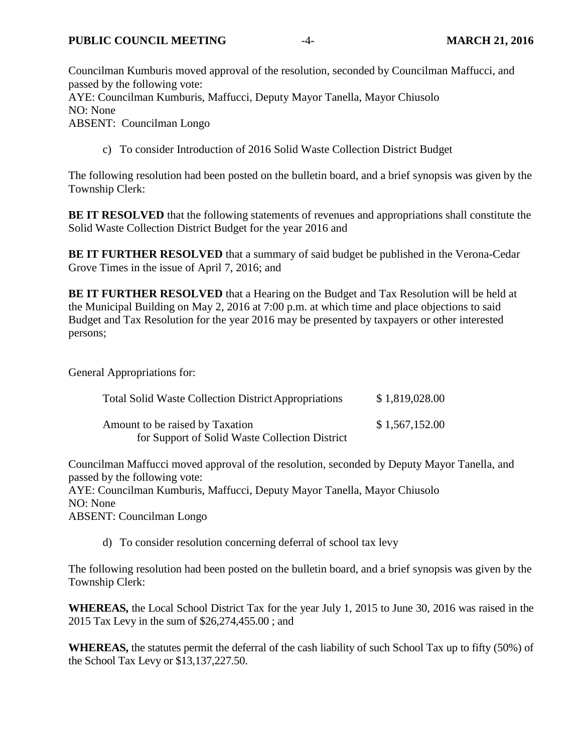Councilman Kumburis moved approval of the resolution, seconded by Councilman Maffucci, and passed by the following vote: AYE: Councilman Kumburis, Maffucci, Deputy Mayor Tanella, Mayor Chiusolo NO: None ABSENT: Councilman Longo

c) To consider Introduction of 2016 Solid Waste Collection District Budget

The following resolution had been posted on the bulletin board, and a brief synopsis was given by the Township Clerk:

**BE IT RESOLVED** that the following statements of revenues and appropriations shall constitute the Solid Waste Collection District Budget for the year 2016 and

**BE IT FURTHER RESOLVED** that a summary of said budget be published in the Verona-Cedar Grove Times in the issue of April 7, 2016; and

**BE IT FURTHER RESOLVED** that a Hearing on the Budget and Tax Resolution will be held at the Municipal Building on May 2, 2016 at 7:00 p.m. at which time and place objections to said Budget and Tax Resolution for the year 2016 may be presented by taxpayers or other interested persons;

General Appropriations for:

| <b>Total Solid Waste Collection District Appropriations</b>                       | \$1,819,028.00 |
|-----------------------------------------------------------------------------------|----------------|
| Amount to be raised by Taxation<br>for Support of Solid Waste Collection District | \$1,567,152.00 |

Councilman Maffucci moved approval of the resolution, seconded by Deputy Mayor Tanella, and passed by the following vote: AYE: Councilman Kumburis, Maffucci, Deputy Mayor Tanella, Mayor Chiusolo NO: None

ABSENT: Councilman Longo

d) To consider resolution concerning deferral of school tax levy

The following resolution had been posted on the bulletin board, and a brief synopsis was given by the Township Clerk:

**WHEREAS,** the Local School District Tax for the year July 1, 2015 to June 30, 2016 was raised in the 2015 Tax Levy in the sum of \$26,274,455.00 ; and

**WHEREAS,** the statutes permit the deferral of the cash liability of such School Tax up to fifty (50%) of the School Tax Levy or \$13,137,227.50.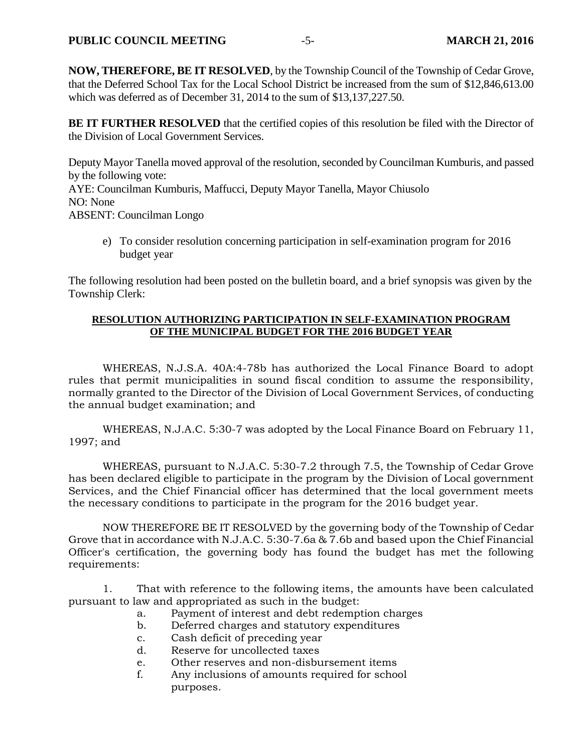**NOW, THEREFORE, BE IT RESOLVED**, by the Township Council of the Township of Cedar Grove, that the Deferred School Tax for the Local School District be increased from the sum of \$12,846,613.00 which was deferred as of December 31, 2014 to the sum of \$13,137,227.50.

**BE IT FURTHER RESOLVED** that the certified copies of this resolution be filed with the Director of the Division of Local Government Services.

Deputy Mayor Tanella moved approval of the resolution, seconded by Councilman Kumburis, and passed by the following vote: AYE: Councilman Kumburis, Maffucci, Deputy Mayor Tanella, Mayor Chiusolo NO: None ABSENT: Councilman Longo

e) To consider resolution concerning participation in self-examination program for 2016 budget year

The following resolution had been posted on the bulletin board, and a brief synopsis was given by the Township Clerk:

#### **RESOLUTION AUTHORIZING PARTICIPATION IN SELF-EXAMINATION PROGRAM OF THE MUNICIPAL BUDGET FOR THE 2016 BUDGET YEAR**

WHEREAS, N.J.S.A. 40A:4-78b has authorized the Local Finance Board to adopt rules that permit municipalities in sound fiscal condition to assume the responsibility, normally granted to the Director of the Division of Local Government Services, of conducting the annual budget examination; and

WHEREAS, N.J.A.C. 5:30-7 was adopted by the Local Finance Board on February 11, 1997; and

WHEREAS, pursuant to N.J.A.C. 5:30-7.2 through 7.5, the Township of Cedar Grove has been declared eligible to participate in the program by the Division of Local government Services, and the Chief Financial officer has determined that the local government meets the necessary conditions to participate in the program for the 2016 budget year.

NOW THEREFORE BE IT RESOLVED by the governing body of the Township of Cedar Grove that in accordance with N.J.A.C. 5:30-7.6a & 7.6b and based upon the Chief Financial Officer's certification, the governing body has found the budget has met the following requirements:

1. That with reference to the following items, the amounts have been calculated pursuant to law and appropriated as such in the budget:

- a. Payment of interest and debt redemption charges
- b. Deferred charges and statutory expenditures
- c. Cash deficit of preceding year
- d. Reserve for uncollected taxes
- e. Other reserves and non-disbursement items
- f. Any inclusions of amounts required for school purposes.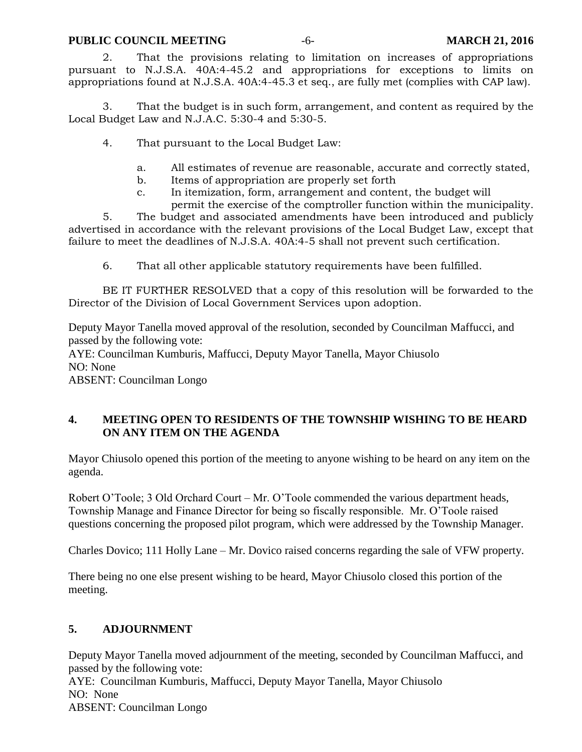#### **PUBLIC COUNCIL MEETING** -6- **MARCH 21, 2016**

2. That the provisions relating to limitation on increases of appropriations pursuant to N.J.S.A. 40A:4-45.2 and appropriations for exceptions to limits on appropriations found at N.J.S.A. 40A:4-45.3 et seq., are fully met (complies with CAP law).

3. That the budget is in such form, arrangement, and content as required by the Local Budget Law and N.J.A.C. 5:30-4 and 5:30-5.

4. That pursuant to the Local Budget Law:

- a. All estimates of revenue are reasonable, accurate and correctly stated,
- b. Items of appropriation are properly set forth
- c. In itemization, form, arrangement and content, the budget will

permit the exercise of the comptroller function within the municipality. 5. The budget and associated amendments have been introduced and publicly advertised in accordance with the relevant provisions of the Local Budget Law, except that failure to meet the deadlines of N.J.S.A. 40A:4-5 shall not prevent such certification.

6. That all other applicable statutory requirements have been fulfilled.

BE IT FURTHER RESOLVED that a copy of this resolution will be forwarded to the Director of the Division of Local Government Services upon adoption.

Deputy Mayor Tanella moved approval of the resolution, seconded by Councilman Maffucci, and passed by the following vote:

AYE: Councilman Kumburis, Maffucci, Deputy Mayor Tanella, Mayor Chiusolo NO: None

ABSENT: Councilman Longo

## **4. MEETING OPEN TO RESIDENTS OF THE TOWNSHIP WISHING TO BE HEARD ON ANY ITEM ON THE AGENDA**

Mayor Chiusolo opened this portion of the meeting to anyone wishing to be heard on any item on the agenda.

Robert O'Toole; 3 Old Orchard Court – Mr. O'Toole commended the various department heads, Township Manage and Finance Director for being so fiscally responsible. Mr. O'Toole raised questions concerning the proposed pilot program, which were addressed by the Township Manager.

Charles Dovico; 111 Holly Lane – Mr. Dovico raised concerns regarding the sale of VFW property.

There being no one else present wishing to be heard, Mayor Chiusolo closed this portion of the meeting.

## **5. ADJOURNMENT**

Deputy Mayor Tanella moved adjournment of the meeting, seconded by Councilman Maffucci, and passed by the following vote: AYE: Councilman Kumburis, Maffucci, Deputy Mayor Tanella, Mayor Chiusolo NO: None ABSENT: Councilman Longo